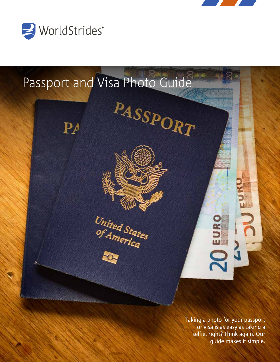





Taking a photo for your passport or visa is as easy as taking a selfie, right? Think again. Our guide makes it simple.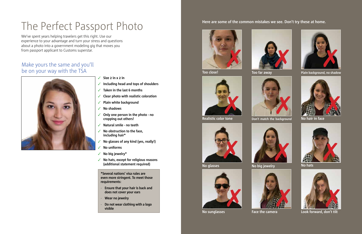- Size 2 in x 2 in
- ✓ **Including head and tops of shoulders**
- ✓ **Taken in the last 6 months**
- ✓ **Clear photo with realistic coloration**
- ✓ **Plain white background**
- ✓ **No shadows**
- ✓ **Only one person in the photo no cropping out others!**
- ✓ **Natural smile no teeth**
- ✓ **No obstruction to the face, including hair\***
- ✓ **No glasses of any kind (yes, really!)**
- ✓ **No uniforms**
- ✓ **No big jewelry\***
- ✓ **No hats, except for religious reasons (additional statement required)**

### **Here are some of the common mistakes we see. Don't try these at home.**





We've spent years helping travelers get this right. Use our experience to your advantage and turn your stress and questions about a photo into a government modeling gig that moves you from passport applicant to Customs superstar.

### Make yours the same and you'll be on your way with the TSA



# The Perfect Passport Photo



**No hats**



**No sunglasses Look forward, don't tilt** 



**No hair in face**

**No glasses**





**Face the camera**

**Too far away**



**Realistic color tone**







**Don't match the background**





**Plain background, no shadow Plain background, no shadow** 

**\*Several nations' visa rules are even more stringent. To meet those requirements:**

- **Ensure that your hair is back and does not cover your ears**
- **Wear no jewelry**
- **Do not wear clothing with a logo visible**